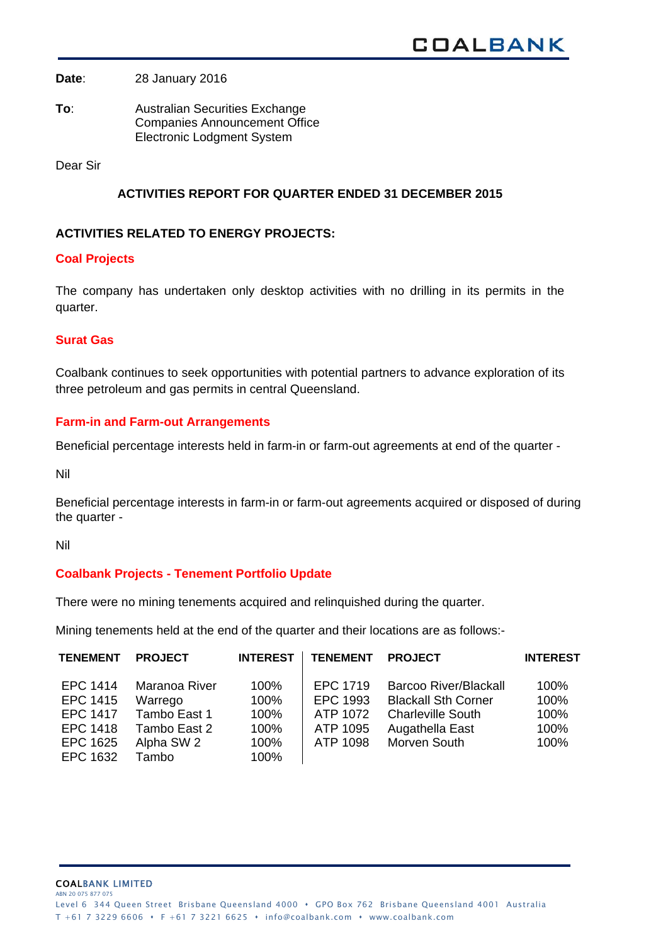**Date**: 28 January 2016

**To**: Australian Securities Exchange Companies Announcement Office Electronic Lodgment System

Dear Sir

# **ACTIVITIES REPORT FOR QUARTER ENDED 31 DECEMBER 2015**

### **ACTIVITIES RELATED TO ENERGY PROJECTS:**

#### **Coal Projects**

The company has undertaken only desktop activities with no drilling in its permits in the quarter.

### **Surat Gas**

Coalbank continues to seek opportunities with potential partners to advance exploration of its three petroleum and gas permits in central Queensland.

### **Farm-in and Farm-out Arrangements**

Beneficial percentage interests held in farm-in or farm-out agreements at end of the quarter -

Nil

Beneficial percentage interests in farm-in or farm-out agreements acquired or disposed of during the quarter -

Nil

### **Coalbank Projects - Tenement Portfolio Update**

There were no mining tenements acquired and relinquished during the quarter.

Mining tenements held at the end of the quarter and their locations are as follows:-

| <b>TENEMENT</b> | <b>PROJECT</b> | <b>INTEREST</b> | <b>TENEMENT</b> | <b>PROJECT</b>               | <b>INTEREST</b> |
|-----------------|----------------|-----------------|-----------------|------------------------------|-----------------|
| EPC 1414        | Maranoa River  | $100\%$         | EPC 1719        | <b>Barcoo River/Blackall</b> | 100%            |
| EPC 1415        | Warrego        | 100%            | EPC 1993        | <b>Blackall Sth Corner</b>   | 100%            |
| <b>EPC 1417</b> | Tambo East 1   | 100%            | ATP 1072        | <b>Charleville South</b>     | 100%            |
| EPC 1418        | Tambo East 2   | 100%            | ATP 1095        | Augathella East              | 100%            |
| EPC 1625        | Alpha SW 2     | 100%            | ATP 1098        | Morven South                 | 100%            |
| EPC 1632        | Tambo          | 100%            |                 |                              |                 |

T +61 7 3229 6606 • F +61 7 3221 6625 • info@coalbank.com • www.coalbank.com